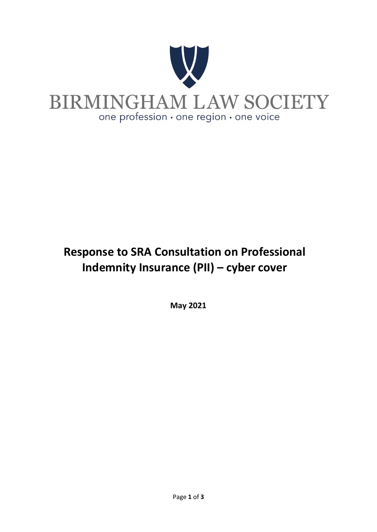

# **Response to SRA Consultation on Professional Indemnity Insurance (PII) – cyber cover**

**May 2021**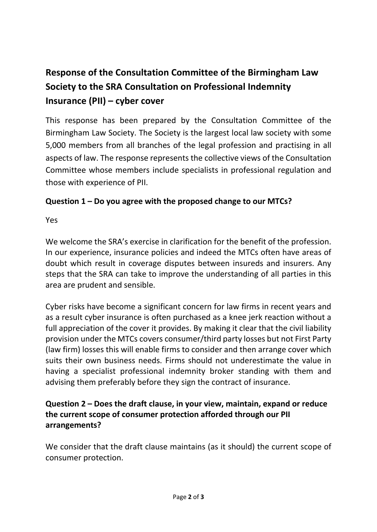# **Response of the Consultation Committee of the Birmingham Law Society to the SRA Consultation on Professional Indemnity Insurance (PII) – cyber cover**

This response has been prepared by the Consultation Committee of the Birmingham Law Society. The Society is the largest local law society with some 5,000 members from all branches of the legal profession and practising in all aspects of law. The response represents the collective views of the Consultation Committee whose members include specialists in professional regulation and those with experience of PII.

## **Question 1 – Do you agree with the proposed change to our MTCs?**

Yes

We welcome the SRA's exercise in clarification for the benefit of the profession. In our experience, insurance policies and indeed the MTCs often have areas of doubt which result in coverage disputes between insureds and insurers. Any steps that the SRA can take to improve the understanding of all parties in this area are prudent and sensible.

Cyber risks have become a significant concern for law firms in recent years and as a result cyber insurance is often purchased as a knee jerk reaction without a full appreciation of the cover it provides. By making it clear that the civil liability provision under the MTCs covers consumer/third party losses but not First Party (law firm) losses this will enable firms to consider and then arrange cover which suits their own business needs. Firms should not underestimate the value in having a specialist professional indemnity broker standing with them and advising them preferably before they sign the contract of insurance.

## **Question 2 – Does the draft clause, in your view, maintain, expand or reduce the current scope of consumer protection afforded through our PII arrangements?**

We consider that the draft clause maintains (as it should) the current scope of consumer protection.